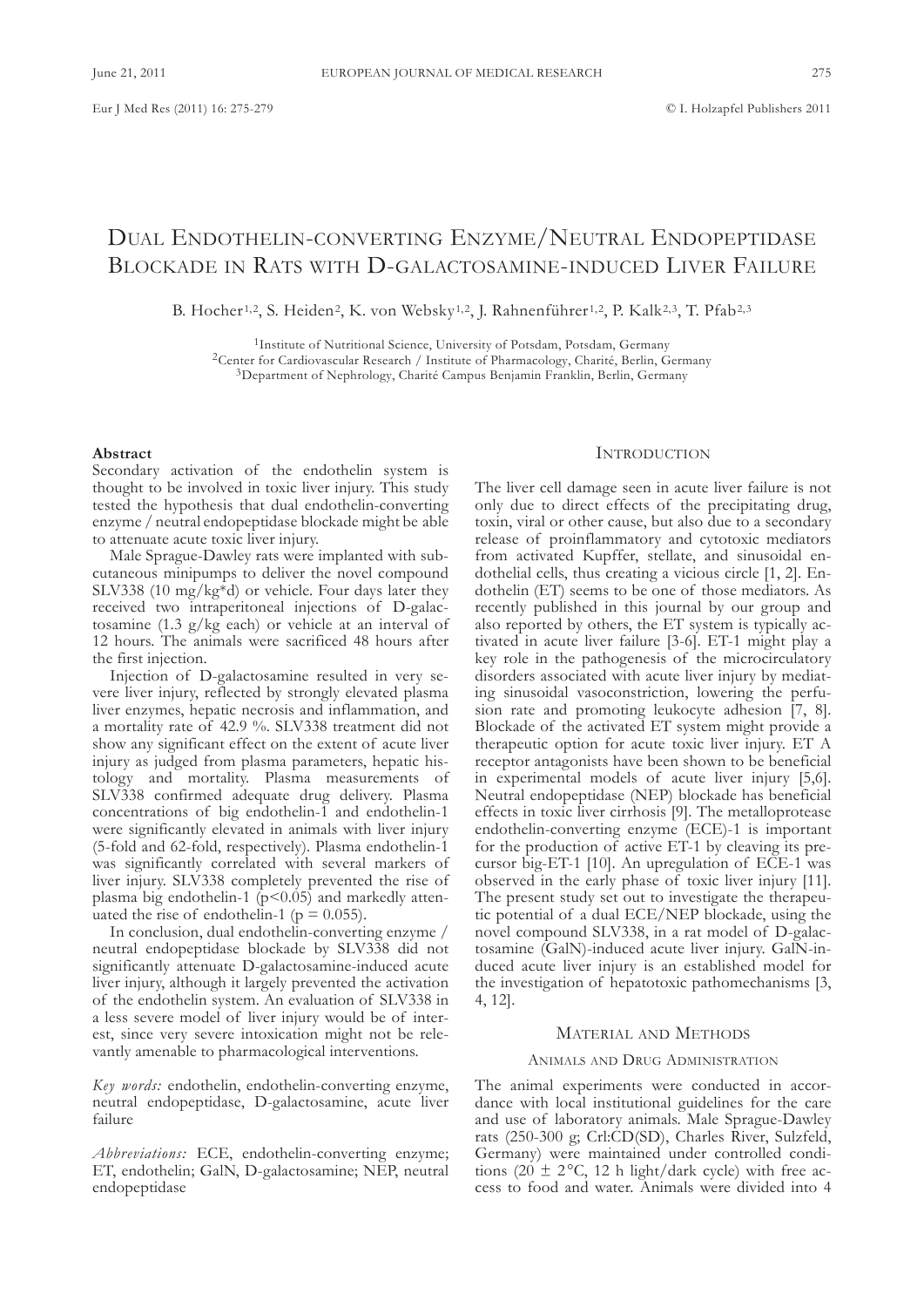# DUAL ENDOTHELIN-CONVERTING ENZYME/NEUTRAL ENDOPEPTIDASE BLOCKADE IN RATS WITH D-GALACTOSAMINE-INDUCED LIVER FAILURE

B. Hocher<sup>1,2</sup>, S. Heiden<sup>2</sup>, K. von Websky<sup>1,2</sup>, J. Rahnenführer<sup>1,2</sup>, P. Kalk<sup>2,3</sup>, T. Pfab<sup>2,3</sup>

<sup>1</sup>Institute of Nutritional Science, University of Potsdam, Potsdam, Germany <sup>2</sup>Center for Cardiovascular Research / Institute of Pharmacology, Charité, Berlin, Germany <sup>3</sup>Department of Nephrology, Charité Campus Benjamin Franklin, Berlin, Germany

## **Abstract**

secondary activation of the endothelin system is thought to be involved in toxic liver injury. This study tested the hypothesis that dual endothelin-converting enzyme / neutral endopeptidase blockade might be able to attenuate acute toxic liver injury.

Male Sprague-Dawley rats were implanted with subcutaneous minipumps to deliver the novel compound SLV338 (10 mg/kg $*d$ ) or vehicle. Four days later they received two intraperitoneal injections of D-galactosamine (1.3 g/kg each) or vehicle at an interval of 12 hours. The animals were sacrificed 48 hours after the first injection.

Injection of D-galactosamine resulted in very severe liver injury, reflected by strongly elevated plasma liver enzymes, hepatic necrosis and inflammation, and a mortality rate of 42.9 %. SLV338 treatment did not show any significant effect on the extent of acute liver injury as judged from plasma parameters, hepatic histology and mortality. Plasma measurements of SLV338 confirmed adequate drug delivery. Plasma concentrations of big endothelin-1 and endothelin-1 were significantly elevated in animals with liver injury (5-fold and 62-fold, respectively). Plasma endothelin-1 was significantly correlated with several markers of liver injury. SLV338 completely prevented the rise of plasma big endothelin-1  $(p<0.05)$  and markedly attenuated the rise of endothelin-1 ( $p = 0.055$ ).

In conclusion, dual endothelin-converting enzyme / neutral endopeptidase blockade by SLV338 did not significantly attenuate D-galactosamine-induced acute liver injury, although it largely prevented the activation of the endothelin system. An evaluation of SLV338 in a less severe model of liver injury would be of interest, since very severe intoxication might not be relevantly amenable to pharmacological interventions.

*Key words:* endothelin, endothelin-converting enzyme, neutral endopeptidase, D-galactosamine, acute liver failure

*Abbreviations:* EcE, endothelin-converting enzyme; ET, endothelin; GalN, D-galactosamine; NEP, neutral endopeptidase

# **INTRODUCTION**

The liver cell damage seen in acute liver failure is not only due to direct effects of the precipitating drug, toxin, viral or other cause, but also due to a secondary release of proinflammatory and cytotoxic mediators from activated kupffer, stellate, and sinusoidal endothelial cells, thus creating a vicious circle [1, 2]. Endothelin (ET) seems to be one of those mediators. As recently published in this journal by our group and also reported by others, the ET system is typically activated in acute liver failure [3-6]. ET-1 might play a key role in the pathogenesis of the microcirculatory disorders associated with acute liver injury by mediating sinusoidal vasoconstriction, lowering the perfusion rate and promoting leukocyte adhesion [7, 8]. Blockade of the activated ET system might provide a therapeutic option for acute toxic liver injury. ET A receptor antagonists have been shown to be beneficial in experimental models of acute liver injury [5,6]. Neutral endopeptidase (NEP) blockade has beneficial effects in toxic liver cirrhosis [9]. The metalloprotease endothelin-converting enzyme (EcE)-1 is important for the production of active ET-1 by cleaving its precursor big-ET-1 [10]. An upregulation of ECE-1 was observed in the early phase of toxic liver injury [11]. The present study set out to investigate the therapeutic potential of a dual EcE/nEP blockade, using the novel compound SLV338, in a rat model of D-galactosamine (GalN)-induced acute liver injury. GalN-induced acute liver injury is an established model for the investigation of hepatotoxic pathomechanisms [3, 4, 12].

# MatERIal anD MEtHoDs

## ANIMALS AND DRUG ADMINISTRATION

The animal experiments were conducted in accordance with local institutional guidelines for the care and use of laboratory animals. Male sprague-Dawley rats (250-300 g; Crl:CD(SD), Charles River, Sulzfeld, Germany) were maintained under controlled conditions (20  $\pm$  2°C, 12 h light/dark cycle) with free access to food and water. Animals were divided into 4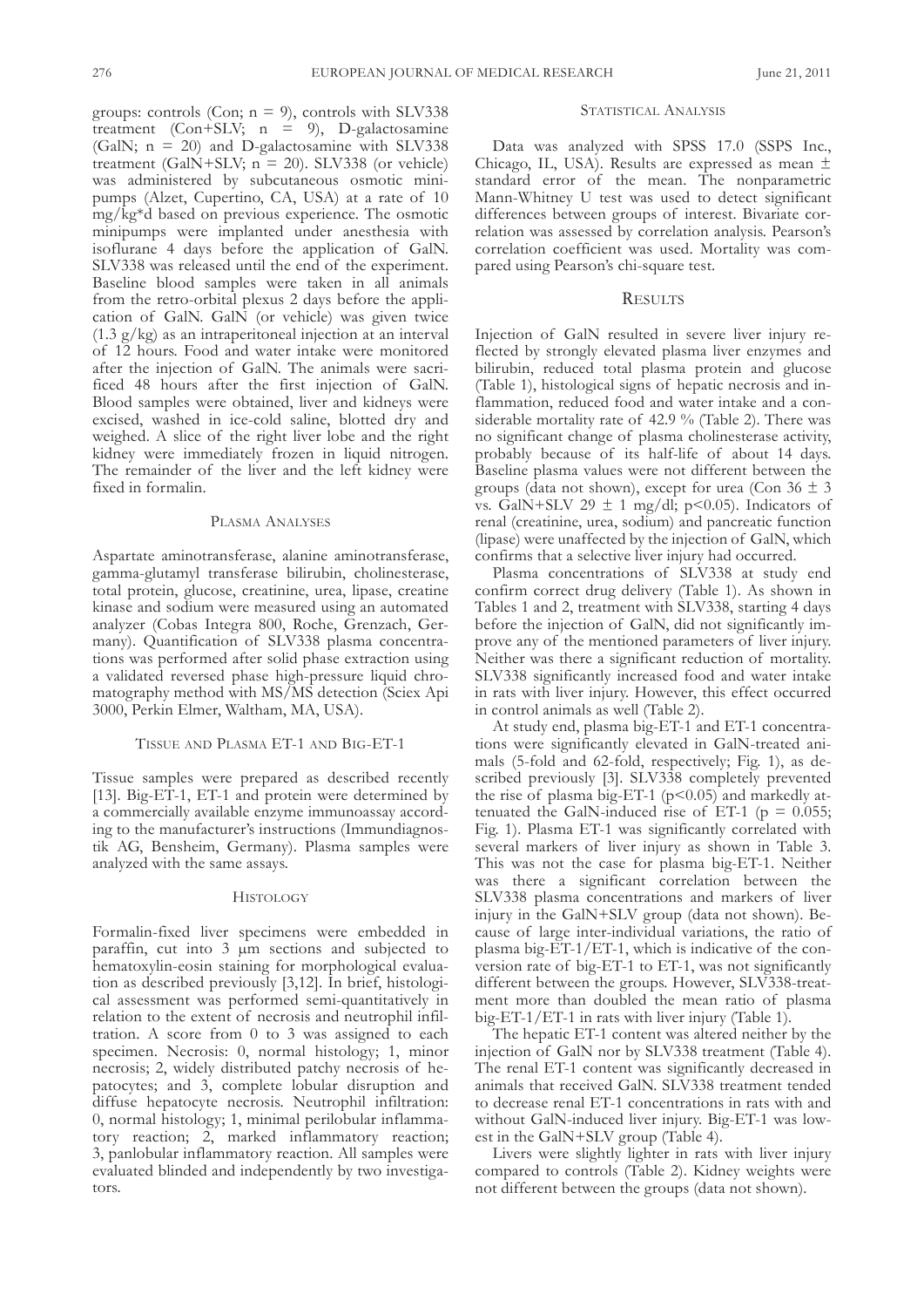groups: controls (Con;  $n = 9$ ), controls with SLV338 treatment (Con+SLV;  $n = 9$ ), D-galactosamine (GalN;  $n = 20$ ) and D-galactosamine with SLV338 treatment (GalN+SLV;  $n = 20$ ). SLV338 (or vehicle) was administered by subcutaneous osmotic minipumps (Alzet, Cupertino, CA, USA) at a rate of 10 mg/kg\*d based on previous experience. the osmotic minipumps were implanted under anesthesia with isoflurane 4 days before the application of GalN. SLV338 was released until the end of the experiment. Baseline blood samples were taken in all animals from the retro-orbital plexus 2 days before the application of GalN. GalN (or vehicle) was given twice (1.3 g/kg) as an intraperitoneal injection at an interval of 12 hours. Food and water intake were monitored after the injection of GalN. The animals were sacrificed 48 hours after the first injection of GalN. Blood samples were obtained, liver and kidneys were excised, washed in ice-cold saline, blotted dry and weighed. A slice of the right liver lobe and the right kidney were immediately frozen in liquid nitrogen. The remainder of the liver and the left kidney were fixed in formalin.

## PLASMA ANALYSES

Aspartate aminotransferase, alanine aminotransferase, gamma-glutamyl transferase bilirubin, cholinesterase, total protein, glucose, creatinine, urea, lipase, creatine kinase and sodium were measured using an automated analyzer (Cobas Integra 800, Roche, Grenzach, Germany). Quantification of SLV338 plasma concentrations was performed after solid phase extraction using a validated reversed phase high-pressure liquid chromatography method with MS/MS detection (Sciex Api 3000, Perkin Elmer, waltham, Ma, usa).

#### TISSUE AND PLASMA ET-1 AND BIG-ET-1

Tissue samples were prepared as described recently [13]. Big-ET-1, ET-1 and protein were determined by a commercially available enzyme immunoassay according to the manufacturer's instructions (Immundiagnostik AG, Bensheim, Germany). Plasma samples were analyzed with the same assays.

## **HISTOLOGY**

Formalin-fixed liver specimens were embedded in paraffin, cut into 3 µm sections and subjected to hematoxylin-eosin staining for morphological evaluation as described previously [3,12]. In brief, histological assessment was performed semi-quantitatively in relation to the extent of necrosis and neutrophil infiltration. A score from  $0$  to  $3$  was assigned to each specimen. Necrosis: 0, normal histology; 1, minor necrosis; 2, widely distributed patchy necrosis of hepatocytes; and 3, complete lobular disruption and diffuse hepatocyte necrosis. Neutrophil infiltration: 0, normal histology; 1, minimal perilobular inflammatory reaction; 2, marked inflammatory reaction; 3, panlobular inflammatory reaction. all samples were evaluated blinded and independently by two investigators.

# STATISTICAL ANALYSIS

Data was analyzed with SPSS 17.0 (SSPS Inc., Chicago, IL, USA). Results are expressed as mean  $\pm$ standard error of the mean. The nonparametric Mann-Whitney U test was used to detect significant differences between groups of interest. Bivariate correlation was assessed by correlation analysis. Pearson's correlation coefficient was used. Mortality was compared using Pearson's chi-square test.

## **RESULTS**

Injection of GalN resulted in severe liver injury reflected by strongly elevated plasma liver enzymes and bilirubin, reduced total plasma protein and glucose (Table 1), histological signs of hepatic necrosis and inflammation, reduced food and water intake and a considerable mortality rate of  $42.9$  % (Table 2). There was no significant change of plasma cholinesterase activity, probably because of its half-life of about 14 days. Baseline plasma values were not different between the groups (data not shown), except for urea (Con  $36 \pm 3$ vs. GalN+SLV 29  $\pm$  1 mg/dl; p<0.05). Indicators of renal (creatinine, urea, sodium) and pancreatic function (lipase) were unaffected by the injection of GalN, which confirms that a selective liver injury had occurred.

Plasma concentrations of SLV338 at study end confirm correct drug delivery (Table 1). As shown in Tables 1 and 2, treatment with SLV338, starting 4 days before the injection of GalN, did not significantly improve any of the mentioned parameters of liver injury. Neither was there a significant reduction of mortality. SLV338 significantly increased food and water intake in rats with liver injury. However, this effect occurred in control animals as well (Table 2).

At study end, plasma big-ET-1 and ET-1 concentrations were significantly elevated in GalN-treated animals (5-fold and 62-fold, respectively; Fig. 1), as described previously [3]. SLV338 completely prevented the rise of plasma big-ET-1 ( $p$ <0.05) and markedly attenuated the GalN-induced rise of ET-1 ( $p = 0.055$ ; Fig. 1). Plasma ET-1 was significantly correlated with several markers of liver injury as shown in Table 3. This was not the case for plasma big-ET-1. Neither was there a significant correlation between the SLV338 plasma concentrations and markers of liver injury in the GalN+SLV group (data not shown). Because of large inter-individual variations, the ratio of plasma big-ET-1/ET-1, which is indicative of the conversion rate of big-ET-1 to ET-1, was not significantly different between the groups. However, SLV338-treatment more than doubled the mean ratio of plasma big-ET-1/ET-1 in rats with liver injury (Table 1).

The hepatic ET-1 content was altered neither by the injection of GalN nor by SLV338 treatment (Table 4). The renal ET-1 content was significantly decreased in animals that received GalN. SLV338 treatment tended to decrease renal ET-1 concentrations in rats with and without GalN-induced liver injury. Big-ET-1 was lowest in the GalN+SLV group (Table 4).

Livers were slightly lighter in rats with liver injury compared to controls (Table 2). Kidney weights were not different between the groups (data not shown).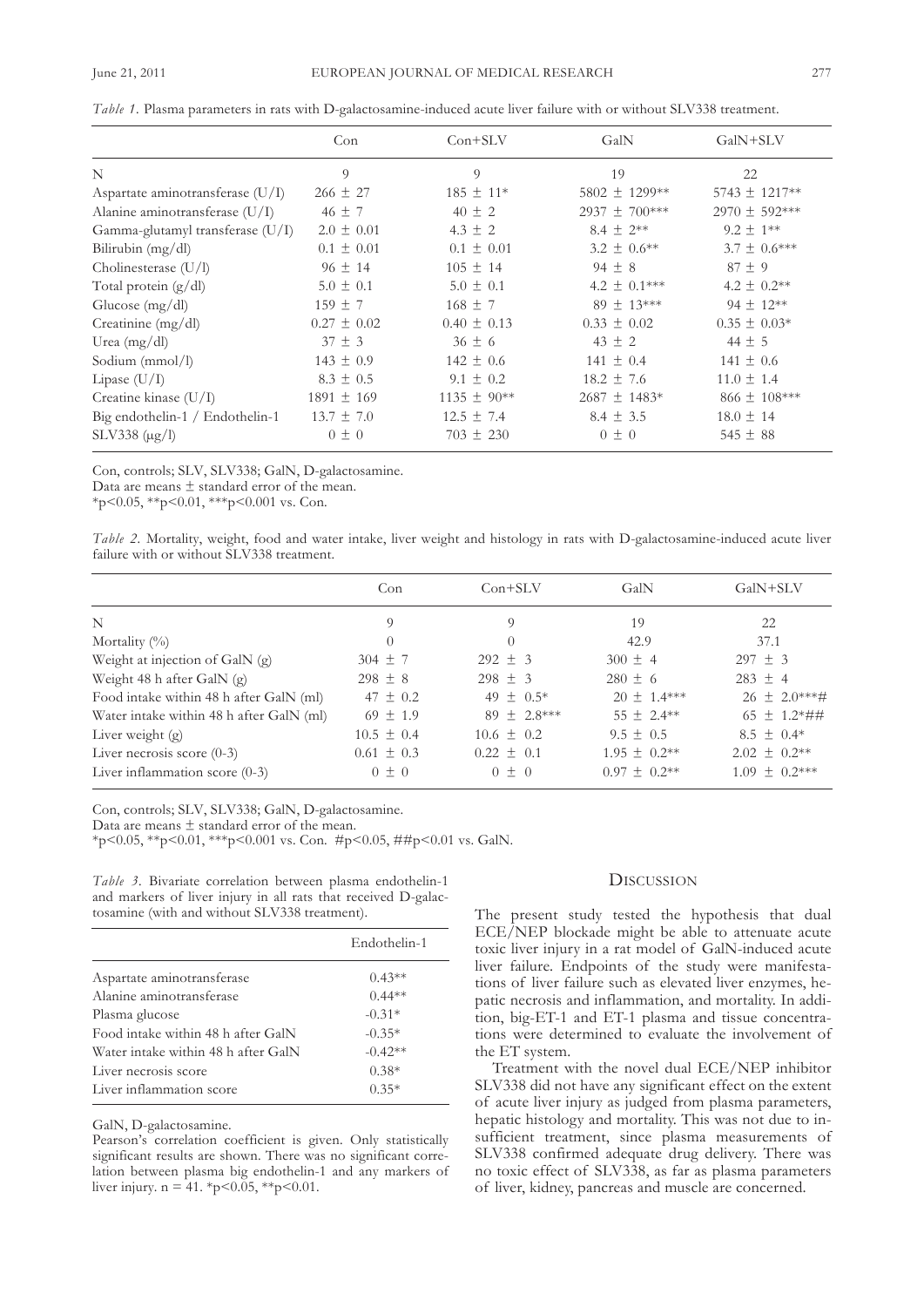|                                    | Con             | $Con+SLV$       | GalN             | GalN+SLV          |
|------------------------------------|-----------------|-----------------|------------------|-------------------|
| N                                  | $\overline{9}$  | 9               | 19               | 22                |
| Aspartate aminotransferase $(U/I)$ | $266 \pm 27$    | $185 \pm 11*$   | 5802 ± 1299**    | $5743 \pm 1217**$ |
| Alanine aminotransferase (U/I)     | $46 \pm 7$      | $40 \pm 2$      | 2937 ± 700***    | $2970 \pm 592***$ |
| Gamma-glutamyl transferase (U/I)   | $2.0 \pm 0.01$  | $4.3 \pm 2$     | $8.4 \pm 2**$    | $9.2 \pm 1**$     |
| Bilirubin (mg/dl)                  | $0.1 \pm 0.01$  | $0.1 \pm 0.01$  | $3.2 \pm 0.6**$  | $3.7 \pm 0.6***$  |
| Cholinesterase (U/l)               | $96 \pm 14$     | $105 \pm 14$    | $94 \pm 8$       | $87 \pm 9$        |
| Total protein (g/dl)               | $5.0 \pm 0.1$   | $5.0 \pm 0.1$   | 4.2 $\pm$ 0.1*** | $4.2 \pm 0.2$ **  |
| Glucose $(mg/dl)$                  | $159 \pm 7$     | $168 \pm 7$     | $89 \pm 13***$   | $94 \pm 12**$     |
| Creatinine (mg/dl)                 | $0.27 \pm 0.02$ | $0.40 \pm 0.13$ | $0.33 \pm 0.02$  | $0.35 \pm 0.03*$  |
| Urea $(mg/dl)$                     | $37 \pm 3$      | $36 \pm 6$      | $43 \pm 2$       | $44 \pm 5$        |
| Sodium (mmol/l)                    | $143 \pm 0.9$   | $142 \pm 0.6$   | $141 \pm 0.4$    | $141 \pm 0.6$     |
| Lipase $(U/I)$                     | $8.3 \pm 0.5$   | $9.1 \pm 0.2$   | $18.2 \pm 7.6$   | $11.0 \pm 1.4$    |
| Creatine kinase $(U/I)$            | $1891 \pm 169$  | $1135 \pm 90**$ | $2687 \pm 1483*$ | 866 ± 108***      |
| Big endothelin-1 / Endothelin-1    | $13.7 \pm 7.0$  | $12.5 \pm 7.4$  | $8.4 \pm 3.5$    | $18.0 \pm 14$     |
| $SLV338 \; (\mu g/l)$              | $0 \pm 0$       | $703 \pm 230$   | $0 \pm 0$        | $545 \pm 88$      |

*Table* 1. Plasma parameters in rats with D-galactosamine-induced acute liver failure with or without SLV338 treatment.

Con, controls; SLV, SLV338; GalN, D-galactosamine.

Data are means ± standard error of the mean.

 $*p<0.05$ ,  $*p<0.01$ ,  $**p<0.001$  vs. Con.

| Table 2. Mortality, weight, food and water intake, liver weight and histology in rats with D-galactosamine-induced acute liver |  |  |  |  |  |  |  |  |
|--------------------------------------------------------------------------------------------------------------------------------|--|--|--|--|--|--|--|--|
| failure with or without SLV338 treatment.                                                                                      |  |  |  |  |  |  |  |  |

|                                          | Con            | $Con+SLV$       | GalN              | GalN+SLV            |  |
|------------------------------------------|----------------|-----------------|-------------------|---------------------|--|
| N                                        | 9              | 9               | 19                | 22                  |  |
| Mortality $(\%)$                         | $\theta$       | $\Omega$        | 42.9              | 37.1                |  |
| Weight at injection of GalN (g)          | $304 \pm 7$    | $292 \pm 3$     | $300 \pm 4$       | $297 \pm 3$         |  |
| Weight 48 h after GalN $(g)$             | $298 \pm 8$    | $298 \pm 3$     | $280 \pm 6$       | $283 \pm 4$         |  |
| Food intake within 48 h after GalN (ml)  | $47 \pm 0.2$   | 49 $\pm$ 0.5*   | $20 \pm 1.4***$   | $26 \pm 2.0***$ #   |  |
| Water intake within 48 h after GalN (ml) | $69 \pm 1.9$   | $89 \pm 2.8***$ | $55 \pm 2.4***$   | $65 \pm 1.2* \# \#$ |  |
| Liver weight $(g)$                       | $10.5 \pm 0.4$ | $10.6 \pm 0.2$  | $9.5 \pm 0.5$     | $8.5 \pm 0.4*$      |  |
| Liver necrosis score $(0-3)$             | $0.61 \pm 0.3$ | $0.22 \pm 0.1$  | $1.95 \pm 0.2**$  | $2.02 \pm 0.2**$    |  |
| Liver inflammation score $(0-3)$         | $0 \pm 0$      | $0 \pm 0$       | $0.97 \pm 0.2$ ** | $1.09 \pm 0.2***$   |  |

Con, controls; SLV, SLV338; GalN, D-galactosamine.

Data are means ± standard error of the mean.

\*p<0.05, \*\*p<0.01, \*\*\*p<0.001 vs. con. #p<0.05, ##p<0.01 vs. galn.

*Table 3.* Bivariate correlation between plasma endothelin-1 and markers of liver injury in all rats that received D-galactosamine (with and without SLV338 treatment).

|                                     | Endothelin-1 |
|-------------------------------------|--------------|
| Aspartate aminotransferase          | $0.43**$     |
| Alanine aminotransferase            | $0.44**$     |
| Plasma glucose                      | $-0.31*$     |
| Food intake within 48 h after GalN  | $-0.35*$     |
| Water intake within 48 h after GalN | $-0.42**$    |
| Liver necrosis score                | $0.38*$      |
| Liver inflammation score            | $0.35*$      |

GalN, D-galactosamine.

Pearson's correlation coefficient is given. Only statistically significant results are shown. There was no significant correlation between plasma big endothelin-1 and any markers of liver injury.  $n = 41. *p < 0.05, **p < 0.01$ .

# **DISCUSSION**

The present study tested the hypothesis that dual EcE/nEP blockade might be able to attenuate acute toxic liver injury in a rat model of GalN-induced acute liver failure. Endpoints of the study were manifestations of liver failure such as elevated liver enzymes, hepatic necrosis and inflammation, and mortality. In addition, big-ET-1 and ET-1 plasma and tissue concentrations were determined to evaluate the involvement of the ET system.

Treatment with the novel dual ECE/NEP inhibitor SLV338 did not have any significant effect on the extent of acute liver injury as judged from plasma parameters, hepatic histology and mortality. This was not due to insufficient treatment, since plasma measurements of SLV338 confirmed adequate drug delivery. There was no toxic effect of SLV338, as far as plasma parameters of liver, kidney, pancreas and muscle are concerned.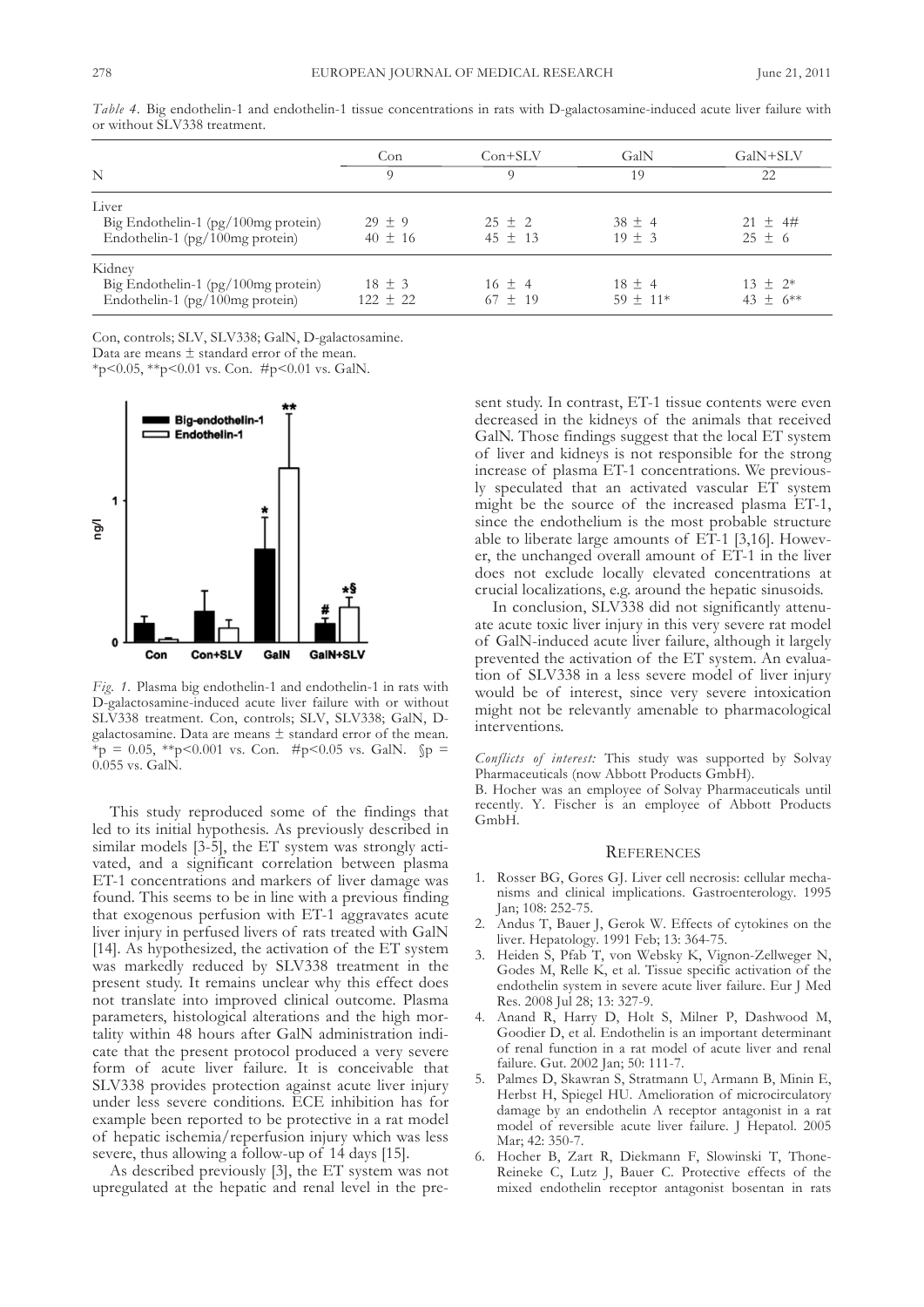|                                                                                       | Con                        | $Con+SLV$                 | GalN                       | GalN+SLV                     |  |
|---------------------------------------------------------------------------------------|----------------------------|---------------------------|----------------------------|------------------------------|--|
| N                                                                                     | $\Omega$                   | 9                         | 19                         | 22                           |  |
| Liver<br>Big Endothelin-1 (pg/100mg protein)<br>Endothelin-1 ( $pg/100mg$ protein)    | $29 \pm 9$<br>$40 \pm 16$  | $25 \pm 2$<br>$45 \pm 13$ | $38 \pm 4$<br>$19 \pm 3$   | $21 \pm 4 \#$<br>$25 \pm 6$  |  |
| Kidney<br>Big Endothelin-1 $(pg/100mg$ protein)<br>Endothelin-1 ( $pg/100mg$ protein) | $18 \pm 3$<br>$122 \pm 22$ | $16 \pm 4$<br>$67 \pm 19$ | $18 \pm 4$<br>$59 \pm 11*$ | $13 \pm 2^*$<br>43 $\pm$ 6** |  |

*Table 4.* Big endothelin-1 and endothelin-1 tissue concentrations in rats with D-galactosamine-induced acute liver failure with or without SLV338 treatment.

Con, controls; SLV, SLV338; GalN, D-galactosamine.

Data are means ± standard error of the mean.

\*p<0.05, \*\*p<0.01 vs. Con.  $\#p$ <0.01 vs. GalN.



*Fig. 1.* Plasma big endothelin-1 and endothelin-1 in rats with D-galactosamine-induced acute liver failure with or without SLV338 treatment. Con, controls; SLV, SLV338; GalN, Dgalactosamine. Data are means  $\pm$  standard error of the mean. \*p = 0.05, \*\*p<0.001 vs. Con. #p<0.05 vs. GalN.  $\wp$  =  $0.055$  vs. GalN.

This study reproduced some of the findings that led to its initial hypothesis. As previously described in similar models [3-5], the ET system was strongly activated, and a significant correlation between plasma ET-1 concentrations and markers of liver damage was found. This seems to be in line with a previous finding that exogenous perfusion with ET-1 aggravates acute liver injury in perfused livers of rats treated with GalN [14]. As hypothesized, the activation of the  $ET$  system was markedly reduced by SLV338 treatment in the present study. It remains unclear why this effect does not translate into improved clinical outcome. Plasma parameters, histological alterations and the high mortality within 48 hours after GalN administration indicate that the present protocol produced a very severe form of acute liver failure. It is conceivable that SLV338 provides protection against acute liver injury under less severe conditions. EcE inhibition has for example been reported to be protective in a rat model of hepatic ischemia/reperfusion injury which was less severe, thus allowing a follow-up of 14 days [15].

As described previously [3], the ET system was not upregulated at the hepatic and renal level in the present study. In contrast, ET-1 tissue contents were even decreased in the kidneys of the animals that received GalN. Those findings suggest that the local ET system of liver and kidneys is not responsible for the strong increase of plasma ET-1 concentrations. We previously speculated that an activated vascular ET system might be the source of the increased plasma ET-1, since the endothelium is the most probable structure able to liberate large amounts of  $E\overline{T}$ -1 [3,16]. However, the unchanged overall amount of ET-1 in the liver does not exclude locally elevated concentrations at crucial localizations, e.g. around the hepatic sinusoids.

In conclusion, SLV338 did not significantly attenuate acute toxic liver injury in this very severe rat model of galn-induced acute liver failure, although it largely prevented the activation of the ET system. An evaluation of slv338 in a less severe model of liver injury would be of interest, since very severe intoxication might not be relevantly amenable to pharmacological interventions.

*Conflicts of interest:* this study was supported by solvay Pharmaceuticals (now Abbott Products GmbH).

B. Hocher was an employee of solvay Pharmaceuticals until recently. y. Fischer is an employee of abbott Products GmbH.

#### **REFERENCES**

- 1. Rosser Bg, gores gJ. liver cell necrosis: cellular mechanisms and clinical implications. Gastroenterology. 1995 Jan; 108: 252-75.
- 2. Andus T, Bauer J, Gerok W. Effects of cytokines on the liver. Hepatology. 1991 Feb; 13: 364-75.
- 3. Heiden S, Pfab T, von Websky K, Vignon-Zellweger N, Godes M, Relle K, et al. Tissue specific activation of the endothelin system in severe acute liver failure. Eur J Med Res. 2008 Jul 28; 13: 327-9.
- 4. anand R, Harry D, Holt s, Milner P, Dashwood M, Goodier D, et al. Endothelin is an important determinant of renal function in a rat model of acute liver and renal failure. Gut. 2002 Jan; 50: 111-7.
- 5. Palmes D, Skawran S, Stratmann U, Armann B, Minin E, Herbst H, Spiegel HU. Amelioration of microcirculatory damage by an endothelin A receptor antagonist in a rat model of reversible acute liver failure. J Hepatol. 2005 Mar; 42: 350-7.
- 6. Hocher B, Zart R, Diekmann F, Slowinski T, Thone-Reineke c, lutz J, Bauer c. Protective effects of the mixed endothelin receptor antagonist bosentan in rats